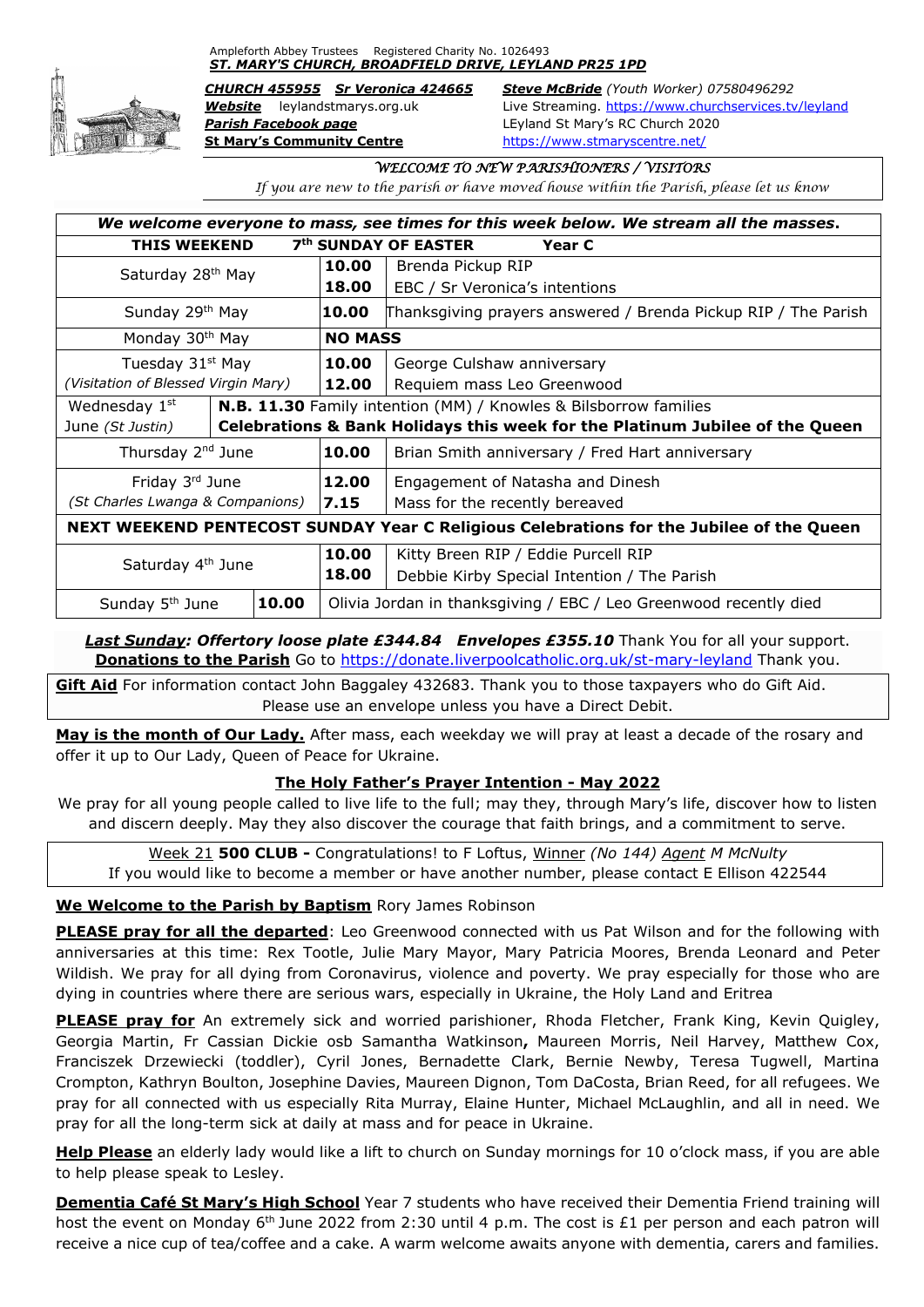Ampleforth Abbey Trustees Registered Charity No. 1026493 *ST. MARY'S CHURCH, BROADFIELD DRIVE, LEYLAND PR25 1PD*



*Parish Facebook page* LEyland St Mary's RC Church 2020 **St Mary's Community Centre** <https://www.stmaryscentre.net/>

*CHURCH 455955 Sr Veronica 424665 Steve McBride (Youth Worker) 07580496292 Website* leylandstmarys.org.uk Live Streaming.<https://www.churchservices.tv/leyland>

### *WELCOME TO NEW PARISHIONERS / VISITORS*

*If you are new to the parish or have moved house within the Parish, please let us know*

| We welcome everyone to mass, see times for this week below. We stream all the masses.    |       |                                                                   |                                                                              |
|------------------------------------------------------------------------------------------|-------|-------------------------------------------------------------------|------------------------------------------------------------------------------|
| 7 <sup>th</sup> SUNDAY OF EASTER<br><b>THIS WEEKEND</b><br>Year C                        |       |                                                                   |                                                                              |
| Saturday 28 <sup>th</sup> May                                                            |       | 10.00                                                             | Brenda Pickup RIP                                                            |
|                                                                                          |       | 18.00                                                             | EBC / Sr Veronica's intentions                                               |
| Sunday 29th May                                                                          |       | 10.00                                                             | Thanksgiving prayers answered / Brenda Pickup RIP / The Parish               |
| Monday 30 <sup>th</sup> May                                                              |       | <b>NO MASS</b>                                                    |                                                                              |
| Tuesday 31 <sup>st</sup> May                                                             |       | 10.00                                                             | George Culshaw anniversary                                                   |
| (Visitation of Blessed Virgin Mary)                                                      |       | 12.00                                                             | Requiem mass Leo Greenwood                                                   |
| N.B. 11.30 Family intention (MM) / Knowles & Bilsborrow families<br>Wednesday 1st        |       |                                                                   |                                                                              |
| June (St Justin)                                                                         |       |                                                                   | Celebrations & Bank Holidays this week for the Platinum Jubilee of the Queen |
| Thursday 2 <sup>nd</sup> June                                                            |       | 10.00                                                             | Brian Smith anniversary / Fred Hart anniversary                              |
| Friday 3rd June                                                                          |       | 12.00                                                             | Engagement of Natasha and Dinesh                                             |
| (St Charles Lwanga & Companions)                                                         |       | 7.15                                                              | Mass for the recently bereaved                                               |
| NEXT WEEKEND PENTECOST SUNDAY Year C Religious Celebrations for the Jubilee of the Queen |       |                                                                   |                                                                              |
| Saturday 4 <sup>th</sup> June                                                            |       | 10.00                                                             | Kitty Breen RIP / Eddie Purcell RIP                                          |
|                                                                                          |       | 18.00                                                             | Debbie Kirby Special Intention / The Parish                                  |
| Sunday 5 <sup>th</sup> June                                                              | 10.00 | Olivia Jordan in thanksgiving / EBC / Leo Greenwood recently died |                                                                              |

**Last Sunday: Offertory loose plate £344.84 Envelopes £355.10** Thank You for all your support. **Donations to the Parish** Go to<https://donate.liverpoolcatholic.org.uk/st-mary-leyland> Thank you.

**Gift Aid** For information contact John Baggaley 432683. Thank you to those taxpayers who do Gift Aid. Please use an envelope unless you have a Direct Debit.

**May is the month of Our Lady.** After mass, each weekday we will pray at least a decade of the rosary and offer it up to Our Lady, Queen of Peace for Ukraine.

# **The Holy Father's Prayer Intention - May 2022**

We pray for all young people called to live life to the full; may they, through Mary's life, discover how to listen and discern deeply. May they also discover the courage that faith brings, and a commitment to serve.

Week 21 **500 CLUB -** Congratulations! to F Loftus, Winner *(No 144) Agent M McNulty* If you would like to become a member or have another number, please contact E Ellison 422544

#### **We Welcome to the Parish by Baptism** Rory James Robinson

**PLEASE pray for all the departed**: Leo Greenwood connected with us Pat Wilson and for the following with anniversaries at this time: Rex Tootle, Julie Mary Mayor, Mary Patricia Moores, Brenda Leonard and Peter Wildish. We pray for all dying from Coronavirus, violence and poverty. We pray especially for those who are dying in countries where there are serious wars, especially in Ukraine, the Holy Land and Eritrea

**PLEASE pray for** An extremely sick and worried parishioner, Rhoda Fletcher, Frank King, Kevin Quigley, Georgia Martin, Fr Cassian Dickie osb Samantha Watkinson**,** Maureen Morris, Neil Harvey, Matthew Cox, Franciszek Drzewiecki (toddler), Cyril Jones, Bernadette Clark, Bernie Newby, Teresa Tugwell, Martina Crompton, Kathryn Boulton, Josephine Davies, Maureen Dignon, Tom DaCosta, Brian Reed, for all refugees. We pray for all connected with us especially Rita Murray, Elaine Hunter, Michael McLaughlin, and all in need. We pray for all the long-term sick at daily at mass and for peace in Ukraine.

**Help Please** an elderly lady would like a lift to church on Sunday mornings for 10 o'clock mass, if you are able to help please speak to Lesley.

**Dementia Café St Mary's High School** Year 7 students who have received their Dementia Friend training will host the event on Monday 6<sup>th</sup> June 2022 from 2:30 until 4 p.m. The cost is £1 per person and each patron will receive a nice cup of tea/coffee and a cake. A warm welcome awaits anyone with dementia, carers and families.